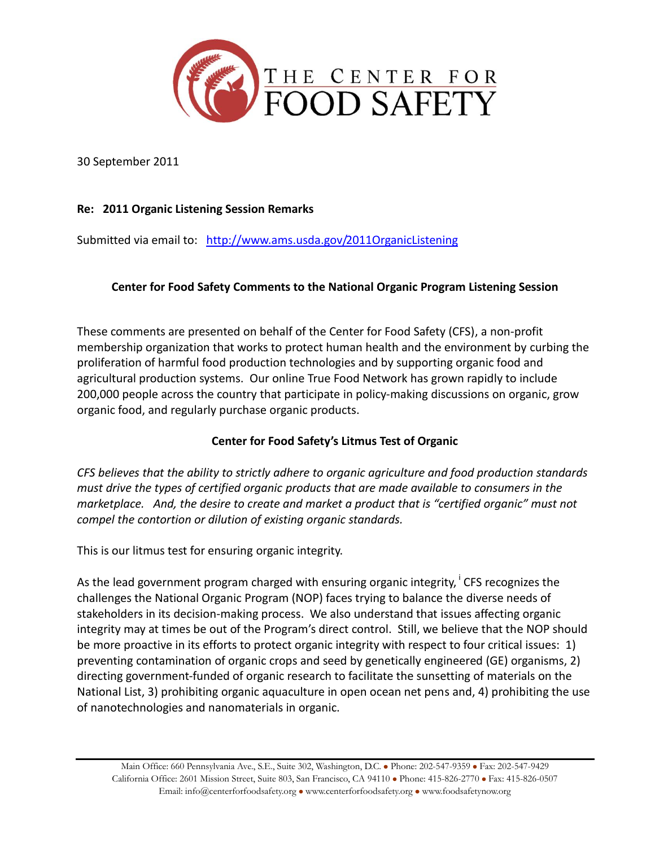

30 September 2011

## **Re: 2011 Organic Listening Session Remarks**

Submitted via email to: <http://www.ams.usda.gov/2011OrganicListening>

### **Center for Food Safety Comments to the National Organic Program Listening Session**

These comments are presented on behalf of the Center for Food Safety (CFS), a non-profit membership organization that works to protect human health and the environment by curbing the proliferation of harmful food production technologies and by supporting organic food and agricultural production systems. Our online True Food Network has grown rapidly to include 200,000 people across the country that participate in policy-making discussions on organic, grow organic food, and regularly purchase organic products.

### **Center for Food Safety's Litmus Test of Organic**

*CFS believes that the ability to strictly adhere to organic agriculture and food production standards must drive the types of certified organic products that are made available to consumers in the marketplace. And, the desire to create and market a product that is "certified organic" must not compel the contortion or dilution of existing organic standards.*

This is our litmus test for ensuring organic integrity.

As the lead government program charged with ensuring organic integrity, <sup>i</sup> CFS recognizes the challenges the National Organic Program (NOP) faces trying to balance the diverse needs of stakeholders in its decision-making process. We also understand that issues affecting organic integrity may at times be out of the Program's direct control. Still, we believe that the NOP should be more proactive in its efforts to protect organic integrity with respect to four critical issues: 1) preventing contamination of organic crops and seed by genetically engineered (GE) organisms, 2) directing government-funded of organic research to facilitate the sunsetting of materials on the National List, 3) prohibiting organic aquaculture in open ocean net pens and, 4) prohibiting the use of nanotechnologies and nanomaterials in organic.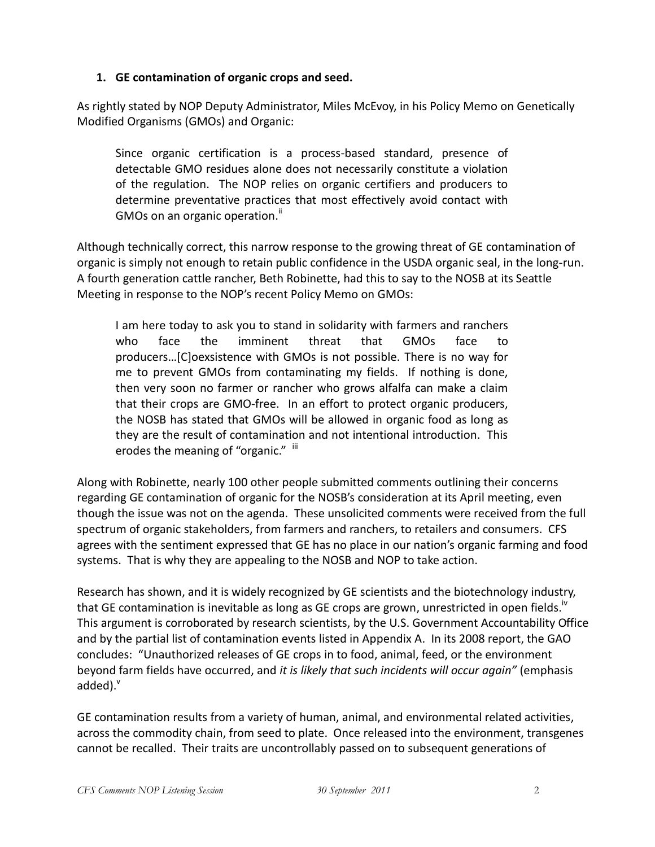#### **1. GE contamination of organic crops and seed.**

As rightly stated by NOP Deputy Administrator, Miles McEvoy, in his Policy Memo on Genetically Modified Organisms (GMOs) and Organic:

Since organic certification is a process-based standard, presence of detectable GMO residues alone does not necessarily constitute a violation of the regulation. The NOP relies on organic certifiers and producers to determine preventative practices that most effectively avoid contact with GMOs on an organic operation."

Although technically correct, this narrow response to the growing threat of GE contamination of organic is simply not enough to retain public confidence in the USDA organic seal, in the long-run. A fourth generation cattle rancher, Beth Robinette, had this to say to the NOSB at its Seattle Meeting in response to the NOP's recent Policy Memo on GMOs:

I am here today to ask you to stand in solidarity with farmers and ranchers who face the imminent threat that GMOs face to producers…[C]oexsistence with GMOs is not possible. There is no way for me to prevent GMOs from contaminating my fields. If nothing is done, then very soon no farmer or rancher who grows alfalfa can make a claim that their crops are GMO-free. In an effort to protect organic producers, the NOSB has stated that GMOs will be allowed in organic food as long as they are the result of contamination and not intentional introduction. This erodes the meaning of "organic."  $\overline{u}$ 

Along with Robinette, nearly 100 other people submitted comments outlining their concerns regarding GE contamination of organic for the NOSB's consideration at its April meeting, even though the issue was not on the agenda. These unsolicited comments were received from the full spectrum of organic stakeholders, from farmers and ranchers, to retailers and consumers. CFS agrees with the sentiment expressed that GE has no place in our nation's organic farming and food systems. That is why they are appealing to the NOSB and NOP to take action.

Research has shown, and it is widely recognized by GE scientists and the biotechnology industry, that GE contamination is inevitable as long as GE crops are grown, unrestricted in open fields.<sup>19</sup> This argument is corroborated by research scientists, by the U.S. Government Accountability Office and by the partial list of contamination events listed in Appendix A. In its 2008 report, the GAO concludes: "Unauthorized releases of GE crops in to food, animal, feed, or the environment beyond farm fields have occurred, and *it is likely that such incidents will occur again"* (emphasis added). $^{\vee}$ 

GE contamination results from a variety of human, animal, and environmental related activities, across the commodity chain, from seed to plate. Once released into the environment, transgenes cannot be recalled. Their traits are uncontrollably passed on to subsequent generations of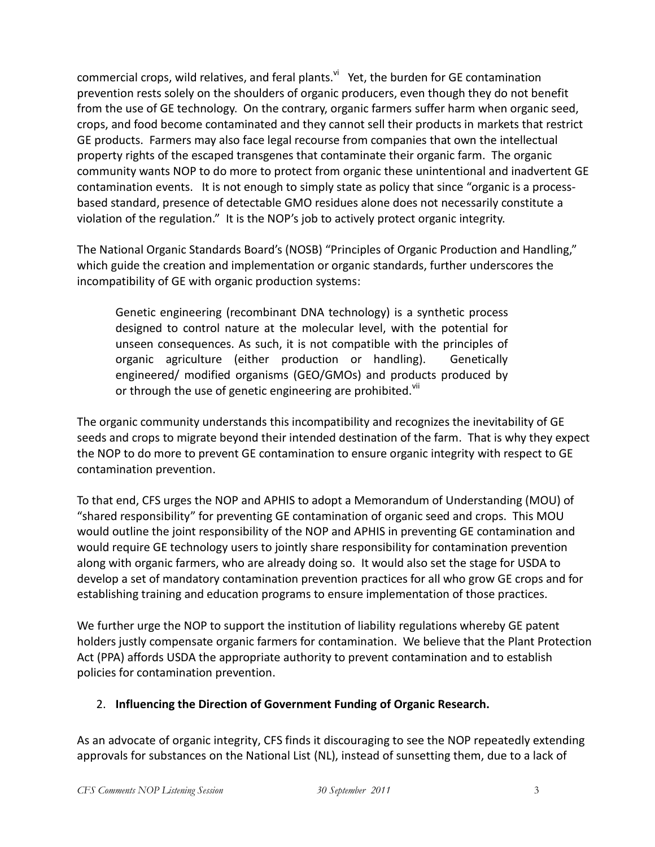commercial crops, wild relatives, and feral plants.<sup>vi</sup> Yet, the burden for GE contamination prevention rests solely on the shoulders of organic producers, even though they do not benefit from the use of GE technology. On the contrary, organic farmers suffer harm when organic seed, crops, and food become contaminated and they cannot sell their products in markets that restrict GE products. Farmers may also face legal recourse from companies that own the intellectual property rights of the escaped transgenes that contaminate their organic farm. The organic community wants NOP to do more to protect from organic these unintentional and inadvertent GE contamination events. It is not enough to simply state as policy that since "organic is a processbased standard, presence of detectable GMO residues alone does not necessarily constitute a violation of the regulation." It is the NOP's job to actively protect organic integrity.

The National Organic Standards Board's (NOSB) "Principles of Organic Production and Handling," which guide the creation and implementation or organic standards, further underscores the incompatibility of GE with organic production systems:

Genetic engineering (recombinant DNA technology) is a synthetic process designed to control nature at the molecular level, with the potential for unseen consequences. As such, it is not compatible with the principles of organic agriculture (either production or handling). Genetically engineered/ modified organisms (GEO/GMOs) and products produced by or through the use of genetic engineering are prohibited.<sup>vii</sup>

The organic community understands this incompatibility and recognizes the inevitability of GE seeds and crops to migrate beyond their intended destination of the farm. That is why they expect the NOP to do more to prevent GE contamination to ensure organic integrity with respect to GE contamination prevention.

To that end, CFS urges the NOP and APHIS to adopt a Memorandum of Understanding (MOU) of "shared responsibility" for preventing GE contamination of organic seed and crops. This MOU would outline the joint responsibility of the NOP and APHIS in preventing GE contamination and would require GE technology users to jointly share responsibility for contamination prevention along with organic farmers, who are already doing so. It would also set the stage for USDA to develop a set of mandatory contamination prevention practices for all who grow GE crops and for establishing training and education programs to ensure implementation of those practices.

We further urge the NOP to support the institution of liability regulations whereby GE patent holders justly compensate organic farmers for contamination. We believe that the Plant Protection Act (PPA) affords USDA the appropriate authority to prevent contamination and to establish policies for contamination prevention.

# 2. **Influencing the Direction of Government Funding of Organic Research.**

As an advocate of organic integrity, CFS finds it discouraging to see the NOP repeatedly extending approvals for substances on the National List (NL), instead of sunsetting them, due to a lack of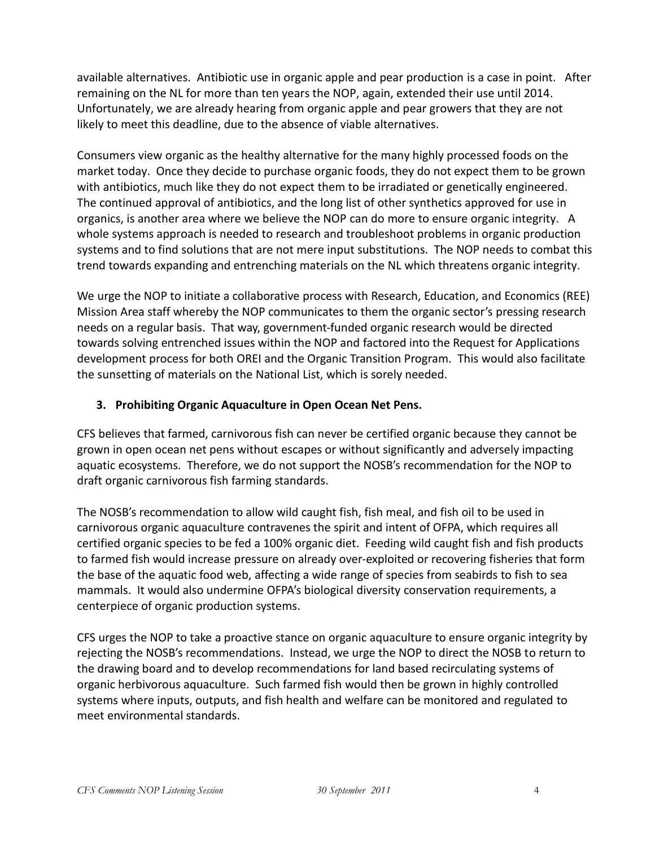available alternatives. Antibiotic use in organic apple and pear production is a case in point. After remaining on the NL for more than ten years the NOP, again, extended their use until 2014. Unfortunately, we are already hearing from organic apple and pear growers that they are not likely to meet this deadline, due to the absence of viable alternatives.

Consumers view organic as the healthy alternative for the many highly processed foods on the market today. Once they decide to purchase organic foods, they do not expect them to be grown with antibiotics, much like they do not expect them to be irradiated or genetically engineered. The continued approval of antibiotics, and the long list of other synthetics approved for use in organics, is another area where we believe the NOP can do more to ensure organic integrity. A whole systems approach is needed to research and troubleshoot problems in organic production systems and to find solutions that are not mere input substitutions. The NOP needs to combat this trend towards expanding and entrenching materials on the NL which threatens organic integrity.

We urge the NOP to initiate a collaborative process with Research, Education, and Economics (REE) Mission Area staff whereby the NOP communicates to them the organic sector's pressing research needs on a regular basis. That way, government-funded organic research would be directed towards solving entrenched issues within the NOP and factored into the Request for Applications development process for both OREI and the Organic Transition Program. This would also facilitate the sunsetting of materials on the National List, which is sorely needed.

# **3. Prohibiting Organic Aquaculture in Open Ocean Net Pens.**

CFS believes that farmed, carnivorous fish can never be certified organic because they cannot be grown in open ocean net pens without escapes or without significantly and adversely impacting aquatic ecosystems. Therefore, we do not support the NOSB's recommendation for the NOP to draft organic carnivorous fish farming standards.

The NOSB's recommendation to allow wild caught fish, fish meal, and fish oil to be used in carnivorous organic aquaculture contravenes the spirit and intent of OFPA, which requires all certified organic species to be fed a 100% organic diet. Feeding wild caught fish and fish products to farmed fish would increase pressure on already over-exploited or recovering fisheries that form the base of the aquatic food web, affecting a wide range of species from seabirds to fish to sea mammals. It would also undermine OFPA's biological diversity conservation requirements, a centerpiece of organic production systems.

CFS urges the NOP to take a proactive stance on organic aquaculture to ensure organic integrity by rejecting the NOSB's recommendations. Instead, we urge the NOP to direct the NOSB to return to the drawing board and to develop recommendations for land based recirculating systems of organic herbivorous aquaculture. Such farmed fish would then be grown in highly controlled systems where inputs, outputs, and fish health and welfare can be monitored and regulated to meet environmental standards.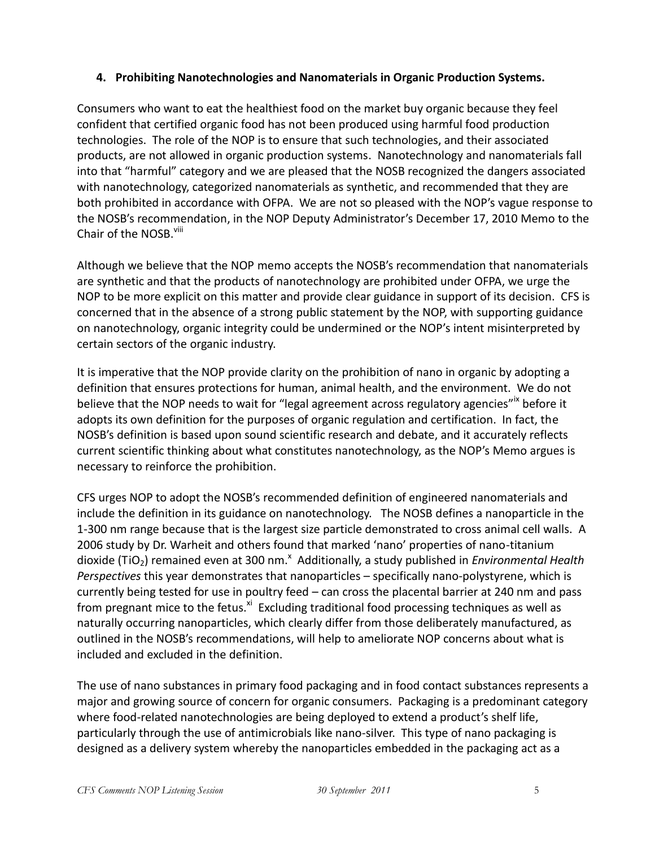### **4. Prohibiting Nanotechnologies and Nanomaterials in Organic Production Systems.**

Consumers who want to eat the healthiest food on the market buy organic because they feel confident that certified organic food has not been produced using harmful food production technologies. The role of the NOP is to ensure that such technologies, and their associated products, are not allowed in organic production systems. Nanotechnology and nanomaterials fall into that "harmful" category and we are pleased that the NOSB recognized the dangers associated with nanotechnology, categorized nanomaterials as synthetic, and recommended that they are both prohibited in accordance with OFPA. We are not so pleased with the NOP's vague response to the NOSB's recommendation, in the NOP Deputy Administrator's December 17, 2010 Memo to the Chair of the NOSB.<sup>viii</sup>

Although we believe that the NOP memo accepts the NOSB's recommendation that nanomaterials are synthetic and that the products of nanotechnology are prohibited under OFPA, we urge the NOP to be more explicit on this matter and provide clear guidance in support of its decision. CFS is concerned that in the absence of a strong public statement by the NOP, with supporting guidance on nanotechnology, organic integrity could be undermined or the NOP's intent misinterpreted by certain sectors of the organic industry.

It is imperative that the NOP provide clarity on the prohibition of nano in organic by adopting a definition that ensures protections for human, animal health, and the environment. We do not believe that the NOP needs to wait for "legal agreement across regulatory agencies"<sup>x</sup> before it adopts its own definition for the purposes of organic regulation and certification. In fact, the NOSB's definition is based upon sound scientific research and debate, and it accurately reflects current scientific thinking about what constitutes nanotechnology, as the NOP's Memo argues is necessary to reinforce the prohibition.

CFS urges NOP to adopt the NOSB's recommended definition of engineered nanomaterials and include the definition in its guidance on nanotechnology. The NOSB defines a nanoparticle in the 1-300 nm range because that is the largest size particle demonstrated to cross animal cell walls. A 2006 study by Dr. Warheit and others found that marked 'nano' properties of nano-titanium dioxide (TiO<sub>2</sub>) remained even at 300 nm.<sup>x</sup> Additionally, a study published in *Environmental Health Perspectives* this year demonstrates that nanoparticles – specifically nano-polystyrene, which is currently being tested for use in poultry feed – can cross the placental barrier at 240 nm and pass from pregnant mice to the fetus.<sup>xi</sup> Excluding traditional food processing techniques as well as naturally occurring nanoparticles, which clearly differ from those deliberately manufactured, as outlined in the NOSB's recommendations, will help to ameliorate NOP concerns about what is included and excluded in the definition.

The use of nano substances in primary food packaging and in food contact substances represents a major and growing source of concern for organic consumers. Packaging is a predominant category where food-related nanotechnologies are being deployed to extend a product's shelf life, particularly through the use of antimicrobials like nano-silver. This type of nano packaging is designed as a delivery system whereby the nanoparticles embedded in the packaging act as a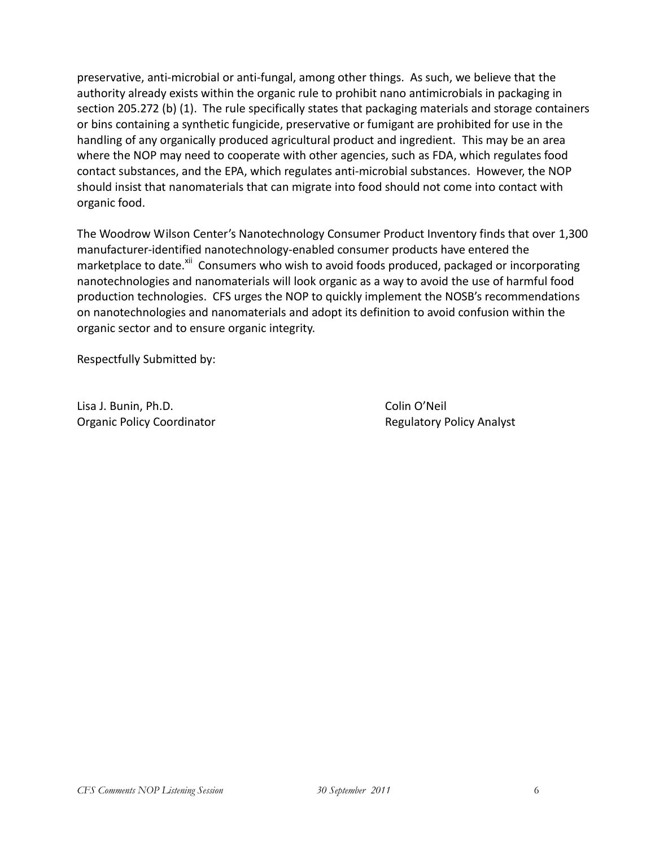preservative, anti-microbial or anti-fungal, among other things. As such, we believe that the authority already exists within the organic rule to prohibit nano antimicrobials in packaging in section 205.272 (b) (1). The rule specifically states that packaging materials and storage containers or bins containing a synthetic fungicide, preservative or fumigant are prohibited for use in the handling of any organically produced agricultural product and ingredient. This may be an area where the NOP may need to cooperate with other agencies, such as FDA, which regulates food contact substances, and the EPA, which regulates anti-microbial substances. However, the NOP should insist that nanomaterials that can migrate into food should not come into contact with organic food.

The Woodrow Wilson Center's Nanotechnology Consumer Product Inventory finds that over 1,300 manufacturer-identified nanotechnology-enabled consumer products have entered the marketplace to date.<sup>xii</sup> Consumers who wish to avoid foods produced, packaged or incorporating nanotechnologies and nanomaterials will look organic as a way to avoid the use of harmful food production technologies. CFS urges the NOP to quickly implement the NOSB's recommendations on nanotechnologies and nanomaterials and adopt its definition to avoid confusion within the organic sector and to ensure organic integrity.

Respectfully Submitted by:

Lisa J. Bunin, Ph.D. Colin O'Neil Organic Policy Coordinator **Regulatory Policy Analyst** Regulatory Policy Analyst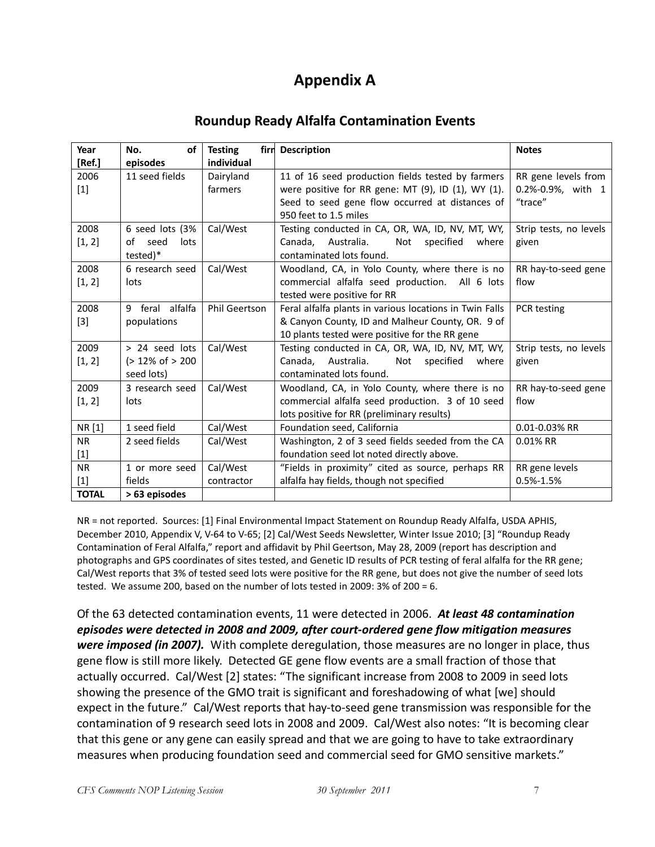# **Appendix A**

# **Roundup Ready Alfalfa Contamination Events**

| Year         | <b>of</b><br>No.            | <b>Testing</b>       | firm Description                                        | <b>Notes</b>           |
|--------------|-----------------------------|----------------------|---------------------------------------------------------|------------------------|
| [Ref.]       | episodes                    | individual           |                                                         |                        |
| 2006         | 11 seed fields              | Dairyland            | 11 of 16 seed production fields tested by farmers       | RR gene levels from    |
| $[1]$        |                             | farmers              | were positive for RR gene: MT (9), ID (1), WY (1).      | 0.2%-0.9%, with 1      |
|              |                             |                      | Seed to seed gene flow occurred at distances of         | "trace"                |
|              |                             |                      | 950 feet to 1.5 miles                                   |                        |
| 2008         | 6 seed lots (3%             | Cal/West             | Testing conducted in CA, OR, WA, ID, NV, MT, WY,        | Strip tests, no levels |
| [1, 2]       | of seed<br>lots             |                      | Canada, Australia.<br>Not specified<br>where            | given                  |
|              | tested)*                    |                      | contaminated lots found.                                |                        |
| 2008         | 6 research seed             | Cal/West             | Woodland, CA, in Yolo County, where there is no         | RR hay-to-seed gene    |
| [1, 2]       | lots                        |                      | commercial alfalfa seed production. All 6 lots          | flow                   |
|              |                             |                      | tested were positive for RR                             |                        |
| 2008         | 9 feral alfalfa             | <b>Phil Geertson</b> | Feral alfalfa plants in various locations in Twin Falls | PCR testing            |
| $[3]$        | populations                 |                      | & Canyon County, ID and Malheur County, OR. 9 of        |                        |
|              |                             |                      | 10 plants tested were positive for the RR gene          |                        |
| 2009         | > 24 seed lots              | Cal/West             | Testing conducted in CA, OR, WA, ID, NV, MT, WY,        | Strip tests, no levels |
| [1, 2]       | $(> 12\% \text{ of } > 200$ |                      | Canada, Australia.<br>Not specified<br>where            | given                  |
|              | seed lots)                  |                      | contaminated lots found.                                |                        |
| 2009         | 3 research seed             | Cal/West             | Woodland, CA, in Yolo County, where there is no         | RR hay-to-seed gene    |
| [1, 2]       | lots                        |                      | commercial alfalfa seed production. 3 of 10 seed        | flow                   |
|              |                             |                      | lots positive for RR (preliminary results)              |                        |
| NR [1]       | 1 seed field                | Cal/West             | Foundation seed, California                             | 0.01-0.03% RR          |
| <b>NR</b>    | 2 seed fields               | Cal/West             | Washington, 2 of 3 seed fields seeded from the CA       | $0.01\%$ RR            |
| $[1]$        |                             |                      | foundation seed lot noted directly above.               |                        |
| <b>NR</b>    | 1 or more seed              | Cal/West             | "Fields in proximity" cited as source, perhaps RR       | RR gene levels         |
| $[1]$        | fields                      | contractor           | alfalfa hay fields, though not specified                | $0.5% - 1.5%$          |
| <b>TOTAL</b> | > 63 episodes               |                      |                                                         |                        |

NR = not reported. Sources: [1] Final Environmental Impact Statement on Roundup Ready Alfalfa, USDA APHIS, December 2010, Appendix V, V-64 to V-65; [2] Cal/West Seeds Newsletter, Winter Issue 2010; [3] "Roundup Ready Contamination of Feral Alfalfa," report and affidavit by Phil Geertson, May 28, 2009 (report has description and photographs and GPS coordinates of sites tested, and Genetic ID results of PCR testing of feral alfalfa for the RR gene; Cal/West reports that 3% of tested seed lots were positive for the RR gene, but does not give the number of seed lots tested. We assume 200, based on the number of lots tested in 2009: 3% of 200 = 6.

Of the 63 detected contamination events, 11 were detected in 2006. *At least 48 contamination episodes were detected in 2008 and 2009, after court-ordered gene flow mitigation measures were imposed (in 2007).* With complete deregulation, those measures are no longer in place, thus gene flow is still more likely. Detected GE gene flow events are a small fraction of those that actually occurred. Cal/West [2] states: "The significant increase from 2008 to 2009 in seed lots showing the presence of the GMO trait is significant and foreshadowing of what [we] should expect in the future." Cal/West reports that hay-to-seed gene transmission was responsible for the contamination of 9 research seed lots in 2008 and 2009. Cal/West also notes: "It is becoming clear that this gene or any gene can easily spread and that we are going to have to take extraordinary measures when producing foundation seed and commercial seed for GMO sensitive markets."